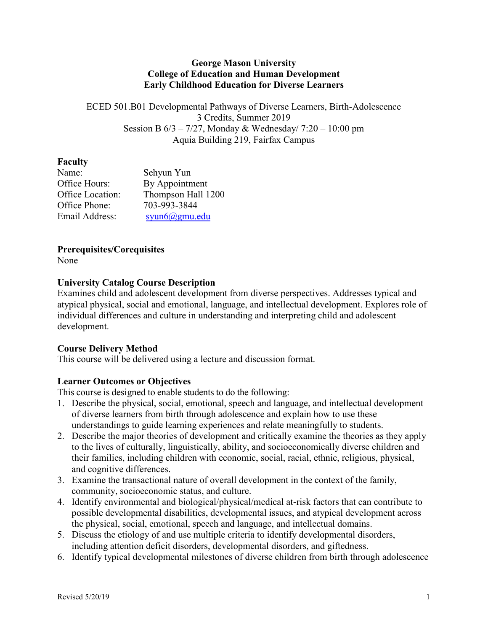#### **George Mason University College of Education and Human Development Early Childhood Education for Diverse Learners**

ECED 501.B01 Developmental Pathways of Diverse Learners, Birth-Adolescence 3 Credits, Summer 2019 Session B  $6/3 - 7/27$ , Monday & Wednesday/ 7:20 – 10:00 pm Aquia Building 219, Fairfax Campus

#### **Faculty**

| Name:            | Sehyun Yun           |
|------------------|----------------------|
| Office Hours:    | By Appointment       |
| Office Location: | Thompson Hall 1200   |
| Office Phone:    | 703-993-3844         |
| Email Address:   | $s$ yun $6$ @gmu.edu |

## **Prerequisites/Corequisites**

None

## **University Catalog Course Description**

Examines child and adolescent development from diverse perspectives. Addresses typical and atypical physical, social and emotional, language, and intellectual development. Explores role of individual differences and culture in understanding and interpreting child and adolescent development.

## **Course Delivery Method**

This course will be delivered using a lecture and discussion format.

## **Learner Outcomes or Objectives**

This course is designed to enable students to do the following:

- 1. Describe the physical, social, emotional, speech and language, and intellectual development of diverse learners from birth through adolescence and explain how to use these understandings to guide learning experiences and relate meaningfully to students.
- 2. Describe the major theories of development and critically examine the theories as they apply to the lives of culturally, linguistically, ability, and socioeconomically diverse children and their families, including children with economic, social, racial, ethnic, religious, physical, and cognitive differences.
- 3. Examine the transactional nature of overall development in the context of the family, community, socioeconomic status, and culture.
- 4. Identify environmental and biological/physical/medical at-risk factors that can contribute to possible developmental disabilities, developmental issues, and atypical development across the physical, social, emotional, speech and language, and intellectual domains.
- 5. Discuss the etiology of and use multiple criteria to identify developmental disorders, including attention deficit disorders, developmental disorders, and giftedness.
- 6. Identify typical developmental milestones of diverse children from birth through adolescence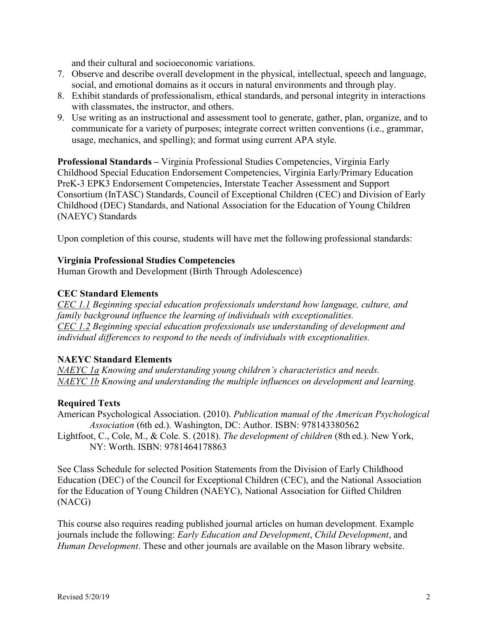and their cultural and socioeconomic variations.

- 7. Observe and describe overall development in the physical, intellectual, speech and language, social, and emotional domains as it occurs in natural environments and through play.
- 8. Exhibit standards of professionalism, ethical standards, and personal integrity in interactions with classmates, the instructor, and others.
- 9. Use writing as an instructional and assessment tool to generate, gather, plan, organize, and to communicate for a variety of purposes; integrate correct written conventions (i.e., grammar, usage, mechanics, and spelling); and format using current APA style.

**Professional Standards –** Virginia Professional Studies Competencies, Virginia Early Childhood Special Education Endorsement Competencies, Virginia Early/Primary Education PreK-3 EPK3 Endorsement Competencies, Interstate Teacher Assessment and Support Consortium (InTASC) Standards, Council of Exceptional Children (CEC) and Division of Early Childhood (DEC) Standards, and National Association for the Education of Young Children (NAEYC) Standards

Upon completion of this course, students will have met the following professional standards:

#### **Virginia Professional Studies Competencies**

Human Growth and Development (Birth Through Adolescence)

#### **CEC Standard Elements**

*CEC 1.1 Beginning special education professionals understand how language, culture, and family background influence the learning of individuals with exceptionalities. CEC 1.2 Beginning special education professionals use understanding of development and individual differences to respond to the needs of individuals with exceptionalities.*

#### **NAEYC Standard Elements**

*NAEYC 1a Knowing and understanding young children's characteristics and needs. NAEYC 1b Knowing and understanding the multiple influences on development and learning.*

## **Required Texts**

American Psychological Association. (2010). *Publication manual of the American Psychological Association* (6th ed.). Washington, DC: Author. ISBN: 978143380562

Lightfoot, C., Cole, M., & Cole. S. (2018). *The development of children* (8th ed.). New York, NY: Worth. ISBN: 9781464178863

See Class Schedule for selected Position Statements from the Division of Early Childhood Education (DEC) of the Council for Exceptional Children (CEC), and the National Association for the Education of Young Children (NAEYC), National Association for Gifted Children (NACG)

This course also requires reading published journal articles on human development. Example journals include the following: *Early Education and Development*, *Child Development*, and *Human Development*. These and other journals are available on the Mason library website.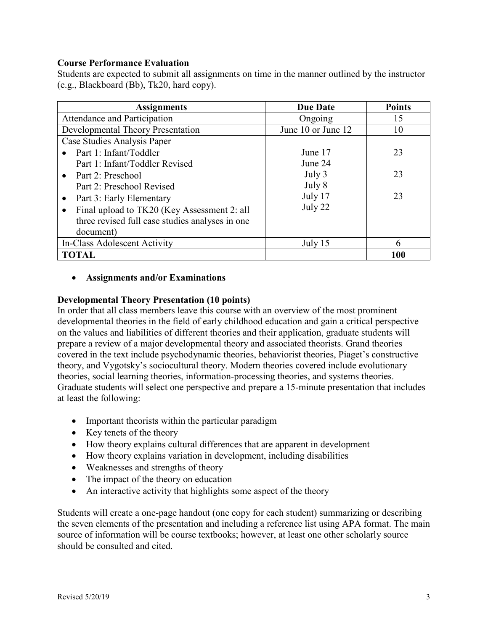#### **Course Performance Evaluation**

Students are expected to submit all assignments on time in the manner outlined by the instructor (e.g., Blackboard (Bb), Tk20, hard copy).

| <b>Assignments</b>                              | <b>Due Date</b>    | <b>Points</b> |
|-------------------------------------------------|--------------------|---------------|
| Attendance and Participation                    | Ongoing            | 15            |
| <b>Developmental Theory Presentation</b>        | June 10 or June 12 | 10            |
| Case Studies Analysis Paper                     |                    |               |
| Part 1: Infant/Toddler<br>$\bullet$             | June 17            | 23            |
| Part 1: Infant/Toddler Revised                  | June 24            |               |
| • Part 2: Preschool                             | July 3             | 23            |
| Part 2: Preschool Revised                       | July 8             |               |
| Part 3: Early Elementary                        | July 17            | 23            |
| Final upload to TK20 (Key Assessment 2: all     | July 22            |               |
| three revised full case studies analyses in one |                    |               |
| document)                                       |                    |               |
| In-Class Adolescent Activity                    | July 15            | 6             |
| <b>TOTAL</b>                                    |                    | 100           |

## • **Assignments and/or Examinations**

#### **Developmental Theory Presentation (10 points)**

In order that all class members leave this course with an overview of the most prominent developmental theories in the field of early childhood education and gain a critical perspective on the values and liabilities of different theories and their application, graduate students will prepare a review of a major developmental theory and associated theorists. Grand theories covered in the text include psychodynamic theories, behaviorist theories, Piaget's constructive theory, and Vygotsky's sociocultural theory. Modern theories covered include evolutionary theories, social learning theories, information-processing theories, and systems theories. Graduate students will select one perspective and prepare a 15-minute presentation that includes at least the following:

- Important theorists within the particular paradigm
- Key tenets of the theory
- How theory explains cultural differences that are apparent in development
- How theory explains variation in development, including disabilities
- Weaknesses and strengths of theory
- The impact of the theory on education
- An interactive activity that highlights some aspect of the theory

Students will create a one-page handout (one copy for each student) summarizing or describing the seven elements of the presentation and including a reference list using APA format. The main source of information will be course textbooks; however, at least one other scholarly source should be consulted and cited.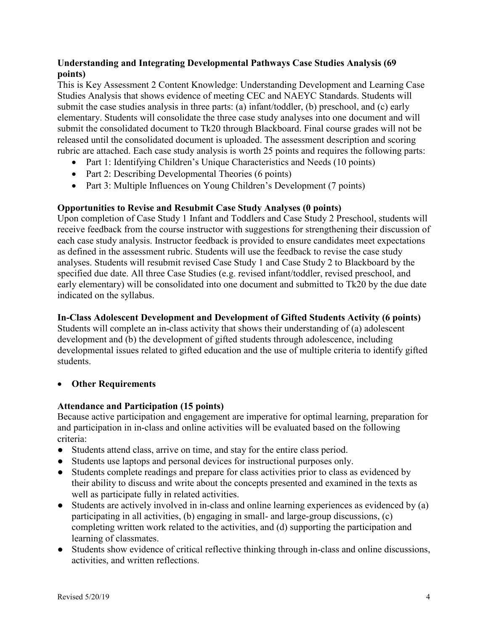## **Understanding and Integrating Developmental Pathways Case Studies Analysis (69 points)**

This is Key Assessment 2 Content Knowledge: Understanding Development and Learning Case Studies Analysis that shows evidence of meeting CEC and NAEYC Standards. Students will submit the case studies analysis in three parts: (a) infant/toddler, (b) preschool, and (c) early elementary. Students will consolidate the three case study analyses into one document and will submit the consolidated document to Tk20 through Blackboard. Final course grades will not be released until the consolidated document is uploaded. The assessment description and scoring rubric are attached. Each case study analysis is worth 25 points and requires the following parts:

- Part 1: Identifying Children's Unique Characteristics and Needs (10 points)
- Part 2: Describing Developmental Theories (6 points)
- Part 3: Multiple Influences on Young Children's Development (7 points)

## **Opportunities to Revise and Resubmit Case Study Analyses (0 points)**

Upon completion of Case Study 1 Infant and Toddlers and Case Study 2 Preschool, students will receive feedback from the course instructor with suggestions for strengthening their discussion of each case study analysis. Instructor feedback is provided to ensure candidates meet expectations as defined in the assessment rubric. Students will use the feedback to revise the case study analyses. Students will resubmit revised Case Study 1 and Case Study 2 to Blackboard by the specified due date. All three Case Studies (e.g. revised infant/toddler, revised preschool, and early elementary) will be consolidated into one document and submitted to Tk20 by the due date indicated on the syllabus.

## **In-Class Adolescent Development and Development of Gifted Students Activity (6 points)**

Students will complete an in-class activity that shows their understanding of (a) adolescent development and (b) the development of gifted students through adolescence, including developmental issues related to gifted education and the use of multiple criteria to identify gifted students.

## • **Other Requirements**

## **Attendance and Participation (15 points)**

Because active participation and engagement are imperative for optimal learning, preparation for and participation in in-class and online activities will be evaluated based on the following criteria:

- Students attend class, arrive on time, and stay for the entire class period.
- Students use laptops and personal devices for instructional purposes only.
- Students complete readings and prepare for class activities prior to class as evidenced by their ability to discuss and write about the concepts presented and examined in the texts as well as participate fully in related activities.
- Students are actively involved in in-class and online learning experiences as evidenced by (a) participating in all activities, (b) engaging in small- and large-group discussions, (c) completing written work related to the activities, and (d) supporting the participation and learning of classmates.
- Students show evidence of critical reflective thinking through in-class and online discussions, activities, and written reflections.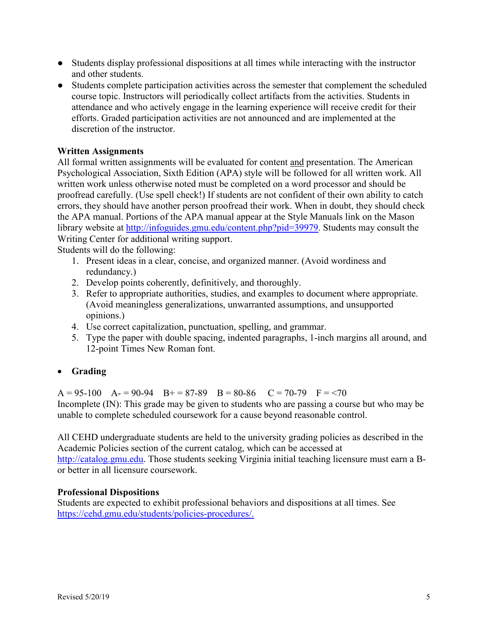- Students display professional dispositions at all times while interacting with the instructor and other students.
- Students complete participation activities across the semester that complement the scheduled course topic. Instructors will periodically collect artifacts from the activities. Students in attendance and who actively engage in the learning experience will receive credit for their efforts. Graded participation activities are not announced and are implemented at the discretion of the instructor.

#### **Written Assignments**

All formal written assignments will be evaluated for content and presentation. The American Psychological Association, Sixth Edition (APA) style will be followed for all written work. All written work unless otherwise noted must be completed on a word processor and should be proofread carefully. (Use spell check!) If students are not confident of their own ability to catch errors, they should have another person proofread their work. When in doubt, they should check the APA manual. Portions of the APA manual appear at the Style Manuals link on the Mason library website at [http://infoguides.gmu.edu/content.php?pid=39979.](http://infoguides.gmu.edu/content.php?pid=39979) Students may consult the Writing Center for additional writing support.

Students will do the following:

- 1. Present ideas in a clear, concise, and organized manner. (Avoid wordiness and redundancy.)
- 2. Develop points coherently, definitively, and thoroughly.
- 3. Refer to appropriate authorities, studies, and examples to document where appropriate. (Avoid meaningless generalizations, unwarranted assumptions, and unsupported opinions.)
- 4. Use correct capitalization, punctuation, spelling, and grammar.
- 5. Type the paper with double spacing, indented paragraphs, 1-inch margins all around, and 12-point Times New Roman font.

## • **Grading**

 $A = 95-100$   $A = 90-94$   $B = 87-89$   $B = 80-86$   $C = 70-79$   $F = 70$ Incomplete (IN): This grade may be given to students who are passing a course but who may be unable to complete scheduled coursework for a cause beyond reasonable control.

All CEHD undergraduate students are held to the university grading policies as described in the Academic Policies section of the current catalog, which can be accessed at [http://catalog.gmu.edu.](http://catalog.gmu.edu/) Those students seeking Virginia initial teaching licensure must earn a Bor better in all licensure coursework.

#### **Professional Dispositions**

Students are expected to exhibit professional behaviors and dispositions at all times. See [https://cehd.gmu.edu/students/policies-procedures/.](https://cehd.gmu.edu/students/policies-procedures/)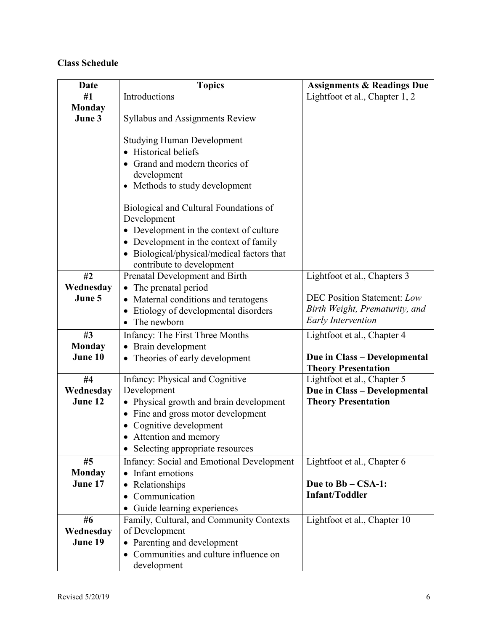# **Class Schedule**

| Date          | <b>Topics</b>                                     | <b>Assignments &amp; Readings Due</b> |
|---------------|---------------------------------------------------|---------------------------------------|
| #1            | Introductions                                     | Lightfoot et al., Chapter 1, 2        |
| <b>Monday</b> |                                                   |                                       |
| June 3        | <b>Syllabus and Assignments Review</b>            |                                       |
|               |                                                   |                                       |
|               | <b>Studying Human Development</b>                 |                                       |
|               | Historical beliefs                                |                                       |
|               | Grand and modern theories of                      |                                       |
|               | development                                       |                                       |
|               | • Methods to study development                    |                                       |
|               | Biological and Cultural Foundations of            |                                       |
|               | Development                                       |                                       |
|               | • Development in the context of culture           |                                       |
|               | Development in the context of family<br>$\bullet$ |                                       |
|               | Biological/physical/medical factors that          |                                       |
|               | contribute to development                         |                                       |
| #2            | Prenatal Development and Birth                    | Lightfoot et al., Chapters 3          |
| Wednesday     | The prenatal period                               |                                       |
| June 5        | Maternal conditions and teratogens<br>$\bullet$   | <b>DEC Position Statement: Low</b>    |
|               | Etiology of developmental disorders               | Birth Weight, Prematurity, and        |
|               | The newborn                                       | <b>Early Intervention</b>             |
| #3            | Infancy: The First Three Months                   | Lightfoot et al., Chapter 4           |
| <b>Monday</b> | Brain development                                 |                                       |
| June 10       | Theories of early development                     | Due in Class - Developmental          |
|               |                                                   | <b>Theory Presentation</b>            |
| #4            | Infancy: Physical and Cognitive                   | Lightfoot et al., Chapter 5           |
| Wednesday     | Development                                       | Due in Class - Developmental          |
| June 12       | Physical growth and brain development             | <b>Theory Presentation</b>            |
|               | Fine and gross motor development<br>$\bullet$     |                                       |
|               | • Cognitive development                           |                                       |
|               | Attention and memory                              |                                       |
|               | Selecting appropriate resources                   |                                       |
| #5            | Infancy: Social and Emotional Development         | Lightfoot et al., Chapter 6           |
| <b>Monday</b> | Infant emotions<br>$\bullet$                      |                                       |
| June 17       | Relationships<br>$\bullet$                        | Due to Bb – CSA-1:                    |
|               | Communication<br>$\bullet$                        | <b>Infant/Toddler</b>                 |
|               | Guide learning experiences                        |                                       |
| #6            | Family, Cultural, and Community Contexts          | Lightfoot et al., Chapter 10          |
| Wednesday     | of Development                                    |                                       |
| June 19       | • Parenting and development                       |                                       |
|               | • Communities and culture influence on            |                                       |
|               | development                                       |                                       |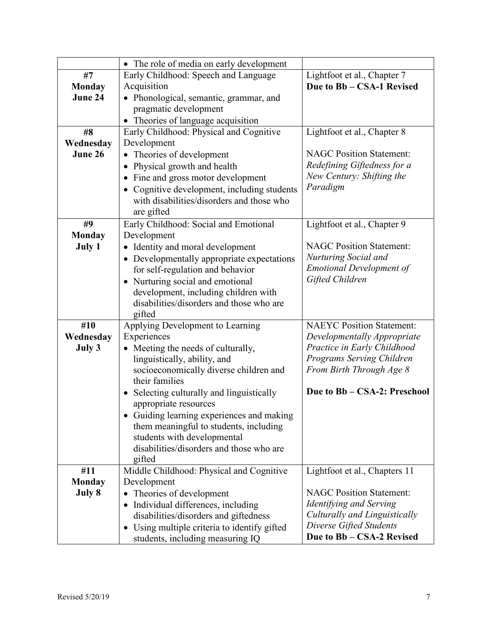|               | • The role of media on early development                           |                                  |
|---------------|--------------------------------------------------------------------|----------------------------------|
| #7            | Early Childhood: Speech and Language                               | Lightfoot et al., Chapter 7      |
| <b>Monday</b> | Acquisition                                                        | Due to Bb - CSA-1 Revised        |
| June 24       | • Phonological, semantic, grammar, and                             |                                  |
|               | pragmatic development                                              |                                  |
|               | • Theories of language acquisition                                 |                                  |
| #8            | Early Childhood: Physical and Cognitive                            | Lightfoot et al., Chapter 8      |
| Wednesday     | Development                                                        |                                  |
| June 26       | Theories of development<br>$\bullet$                               | <b>NAGC Position Statement:</b>  |
|               | Physical growth and health<br>$\bullet$                            | Redefining Giftedness for a      |
|               | Fine and gross motor development<br>$\bullet$                      | New Century: Shifting the        |
|               | • Cognitive development, including students                        | Paradigm                         |
|               | with disabilities/disorders and those who                          |                                  |
|               | are gifted                                                         |                                  |
| #9            | Early Childhood: Social and Emotional                              | Lightfoot et al., Chapter 9      |
| <b>Monday</b> | Development                                                        |                                  |
| July 1        | • Identity and moral development                                   | <b>NAGC Position Statement:</b>  |
|               | • Developmentally appropriate expectations                         | Nurturing Social and             |
|               | for self-regulation and behavior                                   | <b>Emotional Development of</b>  |
|               | Nurturing social and emotional<br>$\bullet$                        | Gifted Children                  |
|               | development, including children with                               |                                  |
|               | disabilities/disorders and those who are                           |                                  |
|               | gifted                                                             |                                  |
| #10           | Applying Development to Learning                                   | <b>NAEYC</b> Position Statement: |
| Wednesday     | Experiences                                                        | Developmentally Appropriate      |
| July 3        | Meeting the needs of culturally,                                   | Practice in Early Childhood      |
|               | linguistically, ability, and                                       | Programs Serving Children        |
|               | socioeconomically diverse children and                             | From Birth Through Age 8         |
|               | their families                                                     |                                  |
|               | • Selecting culturally and linguistically<br>appropriate resources | Due to Bb - CSA-2: Preschool     |
|               | Guiding learning experiences and making                            |                                  |
|               | them meaningful to students, including                             |                                  |
|               | students with developmental                                        |                                  |
|               | disabilities/disorders and those who are                           |                                  |
|               | gifted                                                             |                                  |
| #11           | Middle Childhood: Physical and Cognitive                           | Lightfoot et al., Chapters 11    |
| <b>Monday</b> | Development                                                        |                                  |
| July 8        | Theories of development<br>٠                                       | <b>NAGC Position Statement:</b>  |
|               | • Individual differences, including                                | Identifying and Serving          |
|               | disabilities/disorders and giftedness                              | Culturally and Linguistically    |
|               | Using multiple criteria to identify gifted<br>$\bullet$            | Diverse Gifted Students          |
|               | students, including measuring IQ                                   | Due to Bb - CSA-2 Revised        |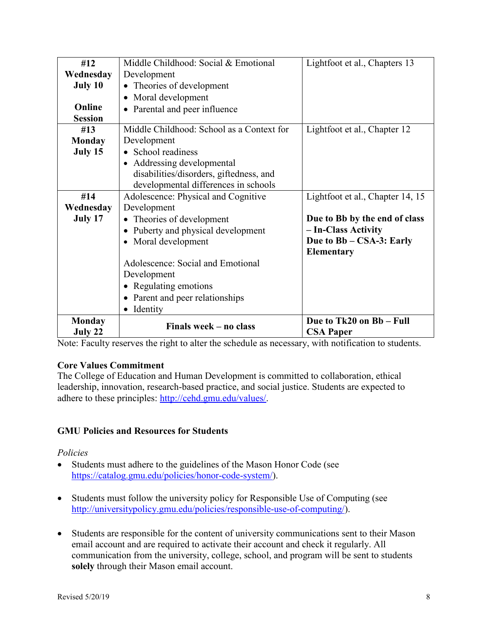| #12            | Middle Childhood: Social & Emotional       | Lightfoot et al., Chapters 13    |
|----------------|--------------------------------------------|----------------------------------|
| Wednesday      | Development                                |                                  |
| July 10        | Theories of development                    |                                  |
|                | Moral development                          |                                  |
| Online         | Parental and peer influence                |                                  |
| <b>Session</b> |                                            |                                  |
| #13            | Middle Childhood: School as a Context for  | Lightfoot et al., Chapter 12     |
| <b>Monday</b>  | Development                                |                                  |
| July 15        | • School readiness                         |                                  |
|                | • Addressing developmental                 |                                  |
|                | disabilities/disorders, giftedness, and    |                                  |
|                | developmental differences in schools       |                                  |
| #14            | Adolescence: Physical and Cognitive        | Lightfoot et al., Chapter 14, 15 |
| Wednesday      | Development                                |                                  |
| July 17        | Theories of development                    | Due to Bb by the end of class    |
|                | Puberty and physical development           | - In-Class Activity              |
|                | Moral development<br>$\bullet$             | Due to Bb - CSA-3: Early         |
|                |                                            | Elementary                       |
|                | Adolescence: Social and Emotional          |                                  |
|                | Development                                |                                  |
|                | • Regulating emotions                      |                                  |
|                | Parent and peer relationships<br>$\bullet$ |                                  |
|                | Identity<br>$\bullet$                      |                                  |
| <b>Monday</b>  | Finals week - no class                     | Due to Tk20 on Bb - Full         |
| July 22        |                                            | <b>CSA Paper</b>                 |

Note: Faculty reserves the right to alter the schedule as necessary, with notification to students.

## **Core Values Commitment**

The College of Education and Human Development is committed to collaboration, ethical leadership, innovation, research-based practice, and social justice. Students are expected to adhere to these principles: [http://cehd.gmu.edu/values/.](http://cehd.gmu.edu/values/)

## **GMU Policies and Resources for Students**

## *Policies*

- Students must adhere to the guidelines of the Mason Honor Code (see [https://catalog.gmu.edu/policies/honor-code-system/\)](https://catalog.gmu.edu/policies/honor-code-system/).
- Students must follow the university policy for Responsible Use of Computing (see [http://universitypolicy.gmu.edu/policies/responsible-use-of-computing/\)](http://universitypolicy.gmu.edu/policies/responsible-use-of-computing/).
- Students are responsible for the content of university communications sent to their Mason email account and are required to activate their account and check it regularly. All communication from the university, college, school, and program will be sent to students **solely** through their Mason email account.